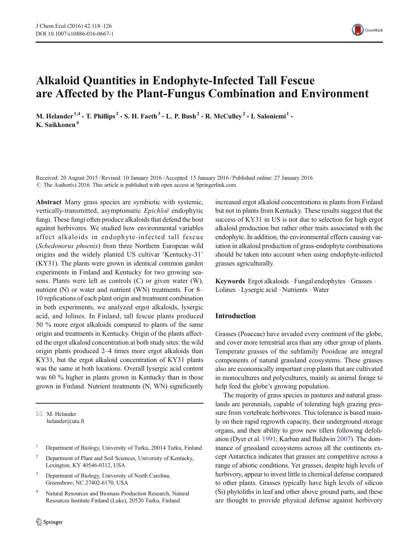

# Alkaloid Quantities in Endophyte-Infected Tall Fescue are Affected by the Plant-Fungus Combination and Environment

M. Helander<sup>1,4</sup>  $\cdot$  T. Phillips<sup>2</sup>  $\cdot$  S. H. Faeth<sup>3</sup>  $\cdot$  L. P. Bush<sup>2</sup>  $\cdot$  R. McCulley<sup>2</sup>  $\cdot$  I. Saloniemi<sup>1</sup>  $\cdot$ K. Saikkonen<sup>4</sup>

Received: 20 August 2015 /Revised: 10 January 2016 /Accepted: 15 January 2016 /Published online: 27 January 2016  $\odot$  The Author(s) 2016. This article is published with open access at Springerlink.com

Abstract Many grass species are symbiotic with systemic, vertically-transmitted, asymptomatic Epichloë endophytic fungi. These fungi often produce alkaloids that defend the host against herbivores. We studied how environmental variables affect alkaloids in endophyte-infected tall fescue (Schedonorus phoenix) from three Northern European wild origins and the widely planted US cultivar 'Kentucky-31' (KY31). The plants were grown in identical common garden experiments in Finland and Kentucky for two growing seasons. Plants were left as controls (C) or given water (W), nutrient (N) or water and nutrient (WN) treatments. For 8– 10 replications of each plant origin and treatment combination in both experiments, we analyzed ergot alkaloids, lysergic acid, and lolines. In Finland, tall fescue plants produced 50 % more ergot alkaloids compared to plants of the same origin and treatments in Kentucky. Origin of the plants affected the ergot alkaloid concentration at both study sites: the wild origin plants produced 2–4 times more ergot alkaloids than KY31, but the ergot alkaloid concentration of KY31 plants was the same at both locations. Overall lysergic acid content was 60 % higher in plants grown in Kentucky than in those grown in Finland. Nutrient treatments (N, WN) significantly

 $\boxtimes$  M. Helander helander@utu.fi

- <sup>1</sup> Department of Biology, University of Turku, 20014 Turku, Finland
- <sup>2</sup> Department of Plant and Soil Sciences, University of Kentucky, Lexington, KY 40546-0312, USA
- <sup>3</sup> Department of Biology, University of North Carolina, Greensboro, NC 27402-6170, USA
- <sup>4</sup> Natural Resources and Biomass Production Research, Natural Resources Institute Finland (Luke), 20520 Turku, Finland

increased ergot alkaloid concentrations in plants from Finland but not in plants from Kentucky. These results suggest that the success of KY31 in US is not due to selection for high ergot alkaloid production but rather other traits associated with the endophyte. In addition, the environmental effects causing variation in alkaloid production of grass-endophyte combinations should be taken into account when using endophyte-infected grasses agriculturally.

Keywords Ergot alkaloids . Fungal endophytes . Grasses . Lolines . Lysergic acid . Nutrients . Water

## Introduction

Grasses (Poaceae) have invaded every continent of the globe, and cover more terrestrial area than any other group of plants. Temperate grasses of the subfamily Pooideae are integral components of natural grassland ecosystems. These grasses also are economically important crop plants that are cultivated in monocultures and polycultures, mainly as animal forage to help feed the globe's growing population.

The majority of grass species in pastures and natural grasslands are perennials, capable of tolerating high grazing pressure from vertebrate herbivores. This tolerance is based mainly on their rapid regrowth capacity, their underground storage organs, and their ability to grow new tillers following defoliation (Dyer et al. [1991](#page-7-0); Karban and Baldwin [2007\)](#page-7-0). The dominance of grassland ecosystems across all the continents except Antarctica indicates that grasses are competitive across a range of abiotic conditions. Yet grasses, despite high levels of herbivory, appear to invest little in chemical defense compared to other plants. Grasses typically have high levels of silicon (Si) phytoliths in leaf and other above ground parts, and these are thought to provide physical defense against herbivory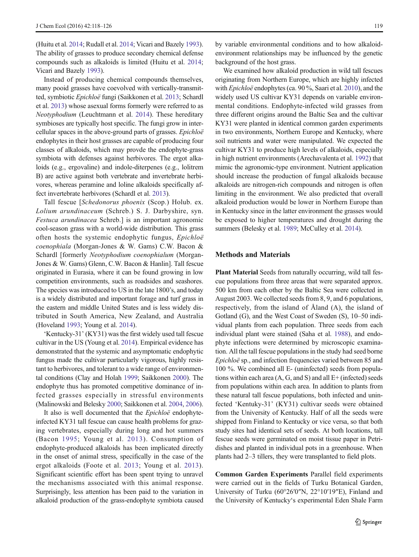(Huitu et al. [2014;](#page-7-0) Rudall et al. [2014](#page-7-0); Vicari and Bazely [1993\)](#page-7-0). The ability of grasses to produce secondary chemical defense compounds such as alkaloids is limited (Huitu et al. [2014](#page-7-0); Vicari and Bazely [1993\)](#page-7-0).

Instead of producing chemical compounds themselves, many pooid grasses have coevolved with vertically-transmitted, symbiotic Epichloë fungi (Saikkonen et al. [2013;](#page-7-0) Schardl et al. [2013\)](#page-7-0) whose asexual forms formerly were referred to as Neotyphodium (Leuchtmann et al. [2014\)](#page-7-0). These hereditary symbioses are typically host specific. The fungi grow in intercellular spaces in the above-ground parts of grasses. Epichloë endophytes in their host grasses are capable of producing four classes of alkaloids, which may provde the endophyte-grass symbiota with defenses against herbivores. The ergot alkaloids (e.g., ergovaline) and indole-diterpenes (e.g., lolitrem B) are active against both vertebrate and invertebrate herbivores, whereas peramine and loline alkaloids specifically affect invertebrate herbivores (Schardl et al. [2013](#page-7-0)).

Tall fescue [Schedonorus phoenix (Scop.) Holub. ex. Lolium arundinaceum (Schreb.) S. J. Darbyshire, syn. Festuca arundinacea Schreb.] is an important agronomic cool-season grass with a world-wide distribution. This grass often hosts the systemic endophytic fungus, Epichloë coenophiala (Morgan-Jones & W. Gams) C.W. Bacon & Schardl [formerly Neotyphodium coenophialum (Morgan-Jones & W. Gams) Glenn, C.W. Bacon & Hanlin]. Tall fescue originated in Eurasia, where it can be found growing in low competition environments, such as roadsides and seashores. The species was introduced to US in the late 1800's, and today is a widely distributed and important forage and turf grass in the eastern and middle United States and is less widely distributed in South America, New Zealand, and Australia (Hoveland [1993](#page-7-0); Young et al. [2014\)](#page-8-0).

'Kentucky-31' (KY31) was the first widely used tall fescue cultivar in the US (Young et al. [2014\)](#page-8-0). Empirical evidence has demonstrated that the systemic and asymptomatic endophytic fungus made the cultivar particularly vigorous, highly resistant to herbivores, and tolerant to a wide range of environmental conditions (Clay and Holah [1999;](#page-7-0) Saikkonen [2000](#page-7-0)). The endophyte thus has promoted competitive dominance of infected grasses especially in stressful environments (Malinowski and Belesky [2000;](#page-7-0) Saikkonen et al. [2004](#page-7-0), [2006\)](#page-7-0).

It also is well documented that the Epichloë endophyteinfected KY31 tall fescue can cause health problems for grazing vertebrates, especially during long and hot summers (Bacon [1995;](#page-7-0) Young et al. [2013\)](#page-8-0). Consumption of endophyte-produced alkaloids has been implicated directly in the onset of animal stress, specifically in the case of the ergot alkaloids (Foote et al. [2013](#page-7-0); Young et al. [2013](#page-8-0)). Significant scientific effort has been spent trying to unravel the mechanisms associated with this animal response. Surprisingly, less attention has been paid to the variation in alkaloid production of the grass-endophyte symbiota caused by variable environmental conditions and to how alkaloidenvironment relationships may be influenced by the genetic background of the host grass.

We examined how alkaloid production in wild tall fescues originating from Northern Europe, which are highly infected with Epichloë endophytes (ca. 90 %, Saari et al. [2010\)](#page-7-0), and the widely used US cultivar KY31 depends on variable environmental conditions. Endophyte-infected wild grasses from three different origins around the Baltic Sea and the cultivar KY31 were planted in identical common garden experiments in two environments, Northern Europe and Kentucky, where soil nutrients and water were manipulated. We expected the cultivar KY31 to produce high levels of alkaloids, especially in high nutrient environments (Arechavalenta et al. [1992](#page-7-0)) that mimic the agronomic-type environment. Nutrient application should increase the production of fungal alkaloids because alkaloids are nitrogen-rich compounds and nitrogen is often limiting in the environment. We also predicted that overall alkaloid production would be lower in Northern Europe than in Kentucky since in the latter environment the grasses would be exposed to higher temperatures and drought during the summers (Belesky et al. [1989;](#page-7-0) McCulley et al. [2014\)](#page-7-0).

#### Methods and Materials

Plant Material Seeds from naturally occurring, wild tall fescue populations from three areas that were separated approx. 500 km from each other by the Baltic Sea were collected in August 2003. We collected seeds from 8, 9, and 6 populations, respectively, from the island of Åland (A), the island of Gotland (G), and the West Coast of Sweden (S), 10–50 individual plants from each population. Three seeds from each individual plant were stained (Saha et al. [1988\)](#page-7-0), and endophyte infections were determined by microscopic examination. All the tall fescue populations in the study had seed borne Epichloë sp., and infection frequencies varied between 85 and 100 %. We combined all E- (uninfected) seeds from populations within each area  $(A, G, and S)$  and all  $E+$  (infected) seeds from populations within each area. In addition to plants from these natural tall fescue populations, both infected and uninfected 'Kentuky-31' (KY31) cultivar seeds were obtained from the University of Kentucky. Half of all the seeds were shipped from Finland to Kentucky or vice versa, so that both study sites had identical sets of seeds. At both locations, tall fescue seeds were germinated on moist tissue paper in Petridishes and planted in individual pots in a greenhouse. When plants had 2–3 tillers, they were transplanted to field plots.

Common Garden Experiments Parallel field experiments were carried out in the fields of Turku Botanical Garden, University of Turku (60°26′0″N, 22°10′19″E), Finland and the University of Kentucky's experimental Eden Shale Farm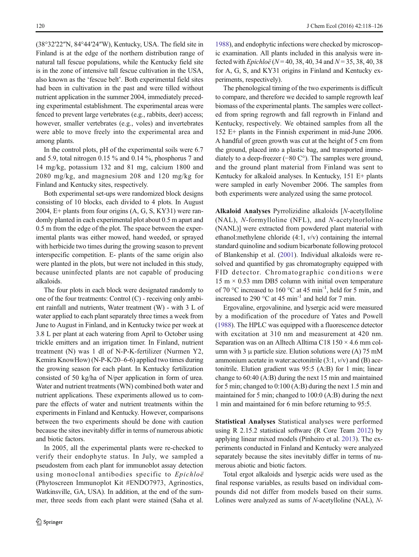(38°32′22″N, 84°44′24″W), Kentucky, USA. The field site in Finland is at the edge of the northern distribution range of natural tall fescue populations, while the Kentucky field site is in the zone of intensive tall fescue cultivation in the USA, also known as the 'fescue belt'. Both experimental field sites had been in cultivation in the past and were tilled without nutrient application in the summer 2004, immediately preceding experimental establishment. The experimental areas were fenced to prevent large vertebrates (e.g., rabbits, deer) access; however, smaller vertebrates (e.g., voles) and invertebrates were able to move freely into the experimental area and among plants.

In the control plots, pH of the experimental soils were 6.7 and 5.9, total nitrogen 0.15 % and 0.14 %, phosphorus 7 and 14 mg/kg, potassium 132 and 81 mg, calcium 1800 and 2080 mg/kg, and magnesium 208 and 120 mg/kg for Finland and Kentucky sites, respectively.

Both experimental set-ups were randomized block designs consisting of 10 blocks, each divided to 4 plots. In August 2004, E+ plants from four origins (A, G, S, KY31) were randomly planted in each experimental plot about 0.5 m apart and 0.5 m from the edge of the plot. The space between the experimental plants was either mowed, hand weeded, or sprayed with herbicide two times during the growing season to prevent interspecific competition. E- plants of the same origin also were planted in the plots, but were not included in this study, because uninfected plants are not capable of producing alkaloids.

The four plots in each block were designated randomly to one of the four treatments: Control (C) - receiving only ambient rainfall and nutrients, Water treatment (W) - with 3 L of water applied to each plant separately three times a week from June to August in Finland, and in Kentucky twice per week at 3.8 L per plant at each watering from April to October using trickle emitters and an irrigation timer. In Finland, nutrient treatment (N) was 1 dl of N-P-K-fertilizer (Nurmen Y2, Kemira KnowHow) (N-P-K/20–6-6) applied two times during the growing season for each plant. In Kentucky fertilization consisted of 50 kg/ha of N/per application in form of urea. Water and nutrient treatments (WN) combined both water and nutrient applications. These experiments allowed us to compare the effects of water and nutrient treatments within the experiments in Finland and Kentucky. However, comparisons between the two experiments should be done with caution because the sites inevitably differ in terms of numerous abiotic and biotic factors.

In 2005, all the experimental plants were re-checked to verify their endophyte status. In July, we sampled a pseudostem from each plant for immunoblot assay detection using monoclonal antibodies specific to Epichloë (Phytoscreen Immunoplot Kit #ENDO7973, Agrinostics, Watkinsville, GA, USA). In addition, at the end of the summer, three seeds from each plant were stained (Saha et al.

[1988\)](#page-7-0), and endophytic infections were checked by microscopic examination. All plants included in this analysis were infected with *Epichloë* ( $N = 40, 38, 40, 34$  and  $N = 35, 38, 40, 38$ for A, G, S, and KY31 origins in Finland and Kentucky experiments, respectively).

The phenological timing of the two experiments is difficult to compare, and therefore we decided to sample regrowth leaf biomass of the experimental plants. The samples were collected from spring regrowth and fall regrowth in Finland and Kentucky, respectively. We obtained samples from all the 152 E+ plants in the Finnish experiment in mid-June 2006. A handful of green growth was cut at the height of 5 cm from the ground, placed into a plastic bag, and transported immediately to a deep-freezer (−80 C°). The samples were ground, and the ground plant material from Finland was sent to Kentucky for alkaloid analyses. In Kentucky, 151 E+ plants were sampled in early November 2006. The samples from both experiments were analyzed using the same protocol.

Alkaloid Analyses Pyrrolizidine alkaloids [N-acetylloline (NAL), N-formylloline (NFL), and N-acetylnorloline (NANL)] were extracted from powdered plant material with ethanol:methylene chloride (4:1, v/v) containing the internal standard quinoline and sodium bicarbonate following protocol of Blankenship et al. [\(2001](#page-7-0)). Individual alkaloids were resolved and quantified by gas chromatography equipped with FID detector. Chromatographic conditions were  $15 \text{ m} \times 0.53 \text{ mm}$  DB5 column with initial oven temperature of 70 °C increased to 160 °C at 45 min<sup>-1</sup>, held for 5 min, and increased to 290  $^{\circ}$ C at 45 min<sup>-1</sup> and held for 7 min.

Ergovaline, ergovalinine, and lysergic acid were measured by a modification of the procedure of Yates and Powell [\(1988\)](#page-8-0). The HPLC was equipped with a fluorescence detector with excitation at 310 nm and measurement at 420 nm. Separation was on an Alltech Alltima C18  $150 \times 4.6$  mm column with 3  $\mu$  particle size. Elution solutions were (A) 75 mM ammonium acetate in water: acetonitrile  $(3:1, v/v)$  and  $(B)$  acetonitrile. Elution gradient was 95:5 (A:B) for 1 min; linear change to 60:40 (A:B) during the next 15 min and maintained for 5 min; changed to 0:100 (A:B) during the next 1.5 min and maintained for 5 min; changed to 100:0 (A:B) during the next 1 min and maintained for 6 min before returning to 95:5.

Statistical Analyses Statistical analyses were performed using R 2.15.2 statistical software (R Core Team [2012](#page-7-0)) by applying linear mixed models (Pinheiro et al. [2013\)](#page-7-0). The experiments conducted in Finland and Kentucky were analyzed separately because the sites inevitably differ in terms of numerous abiotic and biotic factors.

Total ergot alkaloids and lysergic acids were used as the final response variables, as results based on individual compounds did not differ from models based on their sums. Lolines were analyzed as sums of N-acetylloline (NAL), N-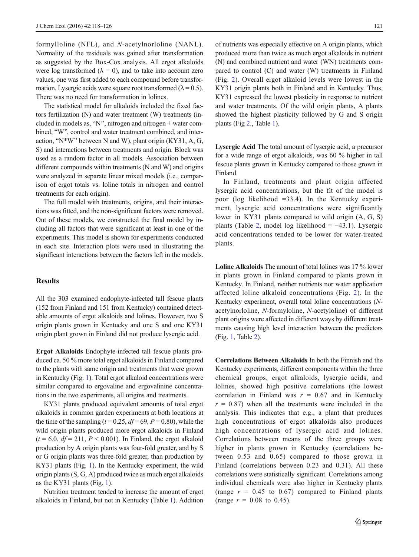formylloline (NFL), and N-acetylnorloline (NANL). Normality of the residuals was gained after transformation as suggested by the Box-Cox analysis. All ergot alkaloids were log transformed ( $\lambda = 0$ ), and to take into account zero values, one was first added to each compound before transformation. Lysergic acids were square root transformed ( $\lambda = 0.5$ ). There was no need for transformation in lolines.

The statistical model for alkaloids included the fixed factors fertilization (N) and water treatment (W) treatments (included in models as, "N", nitrogen and nitrogen + water combined, "W", control and water treatment combined, and interaction, "N\*W" between N and W), plant origin (KY31, A, G, S) and interactions between treatments and origin. Block was used as a random factor in all models. Association between different compounds within treatments (N and W) and origins were analyzed in separate linear mixed models (i.e., comparison of ergot totals vs. loline totals in nitrogen and control treatments for each origin).

The full model with treatments, origins, and their interactions was fitted, and the non-significant factors were removed. Out of these models, we constructed the final model by including all factors that were significant at least in one of the experiments. This model is shown for experiments conducted in each site. Interaction plots were used in illustrating the significant interactions between the factors left in the models.

## **Results**

All the 303 examined endophyte-infected tall fescue plants (152 from Finland and 151 from Kentucky) contained detectable amounts of ergot alkaloids and lolines. However, two S origin plants grown in Kentucky and one S and one KY31 origin plant grown in Finland did not produce lysergic acid.

Ergot Alkaloids Endophyte-infected tall fescue plants produced ca. 50 % more total ergot alkaloids in Finland compared to the plants with same origin and treatments that were grown in Kentucky (Fig. [1\)](#page-4-0). Total ergot alkaloid concentrations were similar compared to ergovaline and ergovalinine concentrations in the two experiments, all origins and treatments.

KY31 plants produced equivalent amounts of total ergot alkaloids in common garden experiments at both locations at the time of the sampling ( $t = 0.25$ ,  $df = 69$ ,  $P = 0.80$ ), while the wild origin plants produced more ergot alkaloids in Finland  $(t = 6.0, df = 211, P < 0.001)$ . In Finland, the ergot alkaloid production by A origin plants was four-fold greater, and by S or G origin plants was three-fold greater, than production by KY31 plants (Fig. [1](#page-4-0)). In the Kentucky experiment, the wild origin plants (S, G, A) produced twice as much ergot alkaloids as the KY31 plants (Fig. [1](#page-4-0)).

Nutrition treatment tended to increase the amount of ergot alkaloids in Finland, but not in Kentucky (Table [1](#page-5-0)). Addition of nutrients was especially effective on A origin plants, which produced more than twice as much ergot alkaloids in nutrient (N) and combined nutrient and water (WN) treatments compared to control (C) and water (W) treatments in Finland (Fig. [2](#page-5-0)). Overall ergot alkaloid levels were lowest in the KY31 origin plants both in Finland and in Kentucky. Thus, KY31 expressed the lowest plasticity in response to nutrient and water treatments. Of the wild origin plants, A plants showed the highest plasticity followed by G and S origin plants (Fig [2](#page-5-0)., Table [1\)](#page-5-0).

Lysergic Acid The total amount of lysergic acid, a precursor for a wide range of ergot alkaloids, was 60 % higher in tall fescue plants grown in Kentucky compared to those grown in Finland.

In Finland, treatments and plant origin affected lysergic acid concentrations, but the fit of the model is poor (log likelihood =33.4). In the Kentucky experiment, lysergic acid concentrations were significantly lower in KY31 plants compared to wild origin (A, G, S) plants (Table [2,](#page-6-0) model log likelihood =  $-43.1$ ). Lysergic acid concentrations tended to be lower for water-treated plants.

Loline Alkaloids The amount of total lolines was 17 % lower in plants grown in Finland compared to plants grown in Kentucky. In Finland, neither nutrients nor water application affected loline alkaloid concentrations (Fig. [2\)](#page-5-0). In the Kentucky experiment, overall total loline concentrations (Nacetylnorloline, N-formyloline, N-acetyloline) of different plant origins were affected in different ways by different treatments causing high level interaction between the predictors (Fig. [1](#page-4-0), Table [2](#page-6-0)).

Correlations Between Alkaloids In both the Finnish and the Kentucky experiments, different components within the three chemical groups, ergot alkaloids, lysergic acids, and lolines, showed high positive correlations (the lowest correlation in Finland was  $r = 0.67$  and in Kentucky  $r = 0.87$ ) when all the treatments were included in the analysis. This indicates that e.g., a plant that produces high concentrations of ergot alkaloids also produces high concentrations of lysergic acid and lolines. Correlations between means of the three groups were higher in plants grown in Kentucky (correlations between 0.53 and 0.65) compared to those grown in Finland (correlations between 0.23 and 0.31). All these correlations were statistically significant. Correlations among individual chemicals were also higher in Kentucky plants (range  $r = 0.45$  to 0.67) compared to Finland plants (range  $r = 0.08$  to 0.45).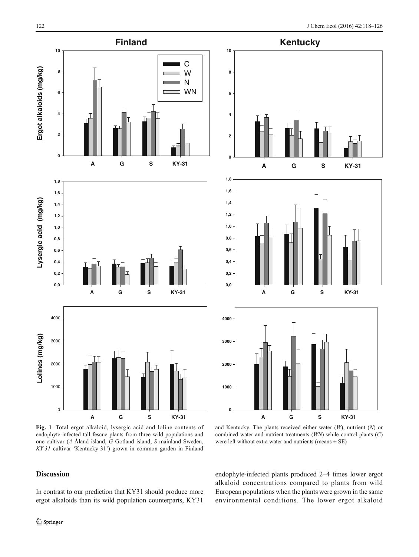<span id="page-4-0"></span>

endophyte-infected tall fescue plants from three wild populations and one cultivar (A Åland island, G Gotland island, S mainland Sweden, KY-31 cultivar 'Kentucky-31') grown in common garden in Finland

and Kentucky. The plants received either water  $(W)$ , nutrient  $(N)$  or combined water and nutrient treatments (WN) while control plants (C) were left without extra water and nutrients (means  $\pm$  SE)

# Discussion

In contrast to our prediction that KY31 should produce more ergot alkaloids than its wild population counterparts, KY31

endophyte-infected plants produced 2–4 times lower ergot alkaloid concentrations compared to plants from wild European populations when the plants were grown in the same environmental conditions. The lower ergot alkaloid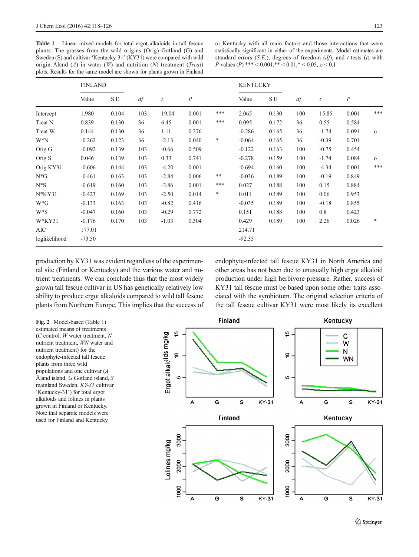<span id="page-5-0"></span>Table 1 Linear mixed models for total ergot alkaloids in tall fescue plants. The grasses from the wild origins (Orig) Gotland (G) and Sweden (S) and cultivar 'Kentucky-31' (KY31) were compared with wild origin Åland  $(A)$  in water  $(W)$  and nutrition  $(N)$  treatment (*Treat*) plots. Results for the same model are shown for plants grown in Finland

or Kentucky with all main factors and those interactions that were statistically significant in either of the experiments. Model estimates are standard errors  $(S.E.)$ , degrees of freedom  $(df)$ , and t-tests  $(t)$  with P-values (P) \*\*\* <  $0.001$ ,\*\* <  $0.01$ ,\* <  $0.05$ , o < 0.1

|               | <b>FINLAND</b> |       |     |                  |                |        | <b>KENTUCKY</b> |       |     |                  |                  |              |
|---------------|----------------|-------|-----|------------------|----------------|--------|-----------------|-------|-----|------------------|------------------|--------------|
|               | Value          | S.E.  | df  | $\boldsymbol{t}$ | $\overline{P}$ |        | Value           | S.E.  | df  | $\boldsymbol{t}$ | $\boldsymbol{P}$ |              |
| Intercept     | 1.980          | 0.104 | 103 | 19.04            | 0.001          | ***    | 2.065           | 0.130 | 100 | 15.85            | 0.001            | ***          |
| Treat N       | 0.839          | 0.130 | 36  | 6.45             | 0.001          | ***    | 0.095           | 0.172 | 36  | 0.55             | 0.584            |              |
| Treat W       | 0.144          | 0.130 | 36  | 1.11             | 0.276          |        | $-0.286$        | 0.165 | 36  | $-1.74$          | 0.091            | $\mathbf{o}$ |
| $W^*N$        | $-0.262$       | 0.123 | 36  | $-2.13$          | 0.040          | $\ast$ | $-0.064$        | 0.165 | 36  | $-0.39$          | 0.701            |              |
| Orig G        | $-0.092$       | 0.139 | 103 | $-0.66$          | 0.509          |        | $-0.122$        | 0.163 | 100 | $-0.75$          | 0.454            |              |
| Orig S        | 0.046          | 0.139 | 103 | 0.33             | 0.741          |        | $-0.278$        | 0.159 | 100 | $-1.74$          | 0.084            | $\mathbf{o}$ |
| Orig KY31     | $-0.606$       | 0.144 | 103 | $-4.20$          | 0.001          |        | $-0.694$        | 0.160 | 100 | $-4.34$          | 0.001            | ***          |
| $N*G$         | $-0.461$       | 0.163 | 103 | $-2.84$          | 0.006          | **     | $-0.036$        | 0.189 | 100 | $-0.19$          | 0.849            |              |
| $N^*S$        | $-0.619$       | 0.160 | 103 | $-3.86$          | 0.001          | ***    | 0.027           | 0.188 | 100 | 0.15             | 0.884            |              |
| $N*KY31$      | $-0.423$       | 0.169 | 103 | $-2.50$          | 0.014          | $\ast$ | 0.011           | 0.189 | 100 | 0.06             | 0.953            |              |
| $W^*G$        | $-0.133$       | 0.163 | 103 | $-0.82$          | 0.416          |        | $-0.035$        | 0.189 | 100 | $-0.18$          | 0.855            |              |
| $W^*S$        | $-0.047$       | 0.160 | 103 | $-0.29$          | 0.772          |        | 0.151           | 0.188 | 100 | 0.8              | 0.423            |              |
| W*KY31        | $-0.176$       | 0.170 | 103 | $-1.03$          | 0.304          |        | 0.429           | 0.189 | 100 | 2.26             | 0.026            | *            |
| AIC           | 177.01         |       |     |                  |                |        | 214.71          |       |     |                  |                  |              |
| loglikelihood | $-73.50$       |       |     |                  |                |        | $-92.35$        |       |     |                  |                  |              |

production by KY31 was evident regardless of the experimental site (Finland or Kentucky) and the various water and nutrient treatments. We can conclude thus that the most widely grown tall fescue cultivar in US has genetically relatively low ability to produce ergot alkaloids compared to wild tall fescue plants from Northern Europe. This implies that the success of endophyte-infected tall fescue KY31 in North America and other areas has not been due to unusually high ergot alkaloid production under high herbivore pressure. Rather, success of KY31 tall fescue must be based upon some other traits associated with the symbiotum. The original selection criteria of the tall fescue cultivar KY31 were most likely its excellent

Fig. 2 Model-based (Table 1) estimated means of treatments  $(C \text{ control}, W \text{ water treatment}, N)$ nutrient treatment, WN water and nutrient treatment) for the endophyte-infected tall fescue plants from three wild populations and one cultivar (A Åland island, G Gotland island, S mainland Sweden, KY-31 cultivar 'Kentucky-31') for total ergot alkaloids and lolines in plants grown in Finland or Kentucky. Note that separate models were used for Finland and Kentucky

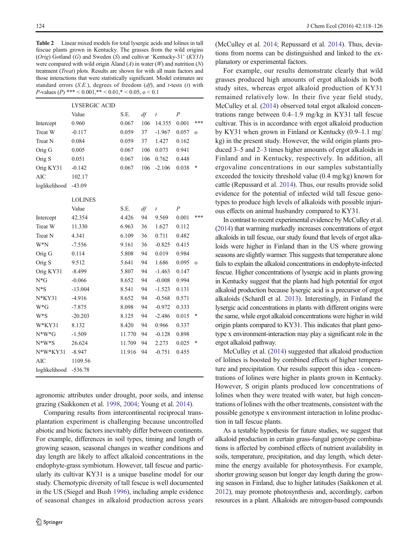<span id="page-6-0"></span>Table 2 Linear mixed models for total lysergic acids and lolines in tall fescue plants grown in Kentucky. The grasses from the wild origins (Orig) Gotland (G) and Sweden (S) and cultivar 'Kentucky-31' (KY31) were compared with wild origin Åland  $(A)$  in water  $(W)$  and nutrition  $(N)$ treatment (Treat) plots. Results are shown for with all main factors and those interactions that were statistically significant. Model estimates are standard errors  $(S.E.)$ , degrees of freedom  $(df)$ , and t-tests  $(t)$  with P-values (P) \*\*\* <  $0.001$ ,\*\* <  $0.01$ ,\* <  $0.05$ , o < 0.1

|               | <b>LYSERGIC ACID</b> |        |                        |           |                |              |  |  |
|---------------|----------------------|--------|------------------------|-----------|----------------|--------------|--|--|
|               | Value                | S.E.   | df<br>$\boldsymbol{t}$ |           | $\overline{P}$ |              |  |  |
| Intercept     | 0.960                | 0.067  | 106                    | 14.355    | 0.001          | ***          |  |  |
| Treat W       | $-0.117$             | 0.059  | 37                     | $-1.967$  | 0.057          | $\Omega$     |  |  |
| Treat N       | 0.084                | 0.059  | 37                     | 1.427     | 0.162          |              |  |  |
| Orig G        | 0.005                | 0.067  | 106                    | 0.073     | 0.941          |              |  |  |
| Orig S        | 0.051                | 0.067  | 106                    | 0.762     | 0.448          |              |  |  |
| Orig KY31     | $-0.142$             | 0.067  | 106                    | $-2.106$  | 0.038          | *            |  |  |
| <b>AIC</b>    | 102.17               |        |                        |           |                |              |  |  |
| loglikelihood | $-43.09$             |        |                        |           |                |              |  |  |
|               | <b>LOLINES</b>       |        |                        |           |                |              |  |  |
|               | Value                | S.E.   | df                     | $\bar{t}$ | $\overline{P}$ |              |  |  |
| Intercept     | 42.354               | 4.426  | 94                     | 9.569     | 0.001          | ***          |  |  |
| Treat W       | 11.330               | 6.963  | 36                     | 1.627     | 0.112          |              |  |  |
| Treat N       | 4.341                | 6.109  | 36                     | 0.711     | 0.482          |              |  |  |
| W*N           | $-7.556$             | 9.161  | 36                     | $-0.825$  | 0.415          |              |  |  |
| Orig G        | 0.114                | 5.808  | 94                     | 0.019     | 0.984          |              |  |  |
| Orig S        | 9.512                | 5.641  | 94                     | 1.686     | 0.095          | $\mathbf{o}$ |  |  |
| Orig KY31     | $-8.499$             | 5.807  | 94                     | $-1.463$  | 0.147          |              |  |  |
| $N*G$         | $-0.066$             | 8.652  | 94                     | $-0.008$  | 0.994          |              |  |  |
| $N*S$         | $-13.004$            | 8.541  | 94                     | $-1.523$  | 0.131          |              |  |  |
| $N*KY31$      | $-4.916$             | 8.652  | 94                     | $-0.568$  | 0.571          |              |  |  |
| $W^*G$        | $-7.875$             | 8.098  | 94                     | $-0.972$  | 0.333          |              |  |  |
| W*S           | $-20.203$            | 8.125  | 94                     | $-2.486$  | 0.015          | *            |  |  |
| W*KY31        | 8.132                | 8.420  | 94                     | 0.966     | 0.337          |              |  |  |
| $N*W*G$       | $-1.509$             | 11.770 | 94                     | $-0.128$  | 0.898          |              |  |  |
| $N^*W^*S$     | 26.624               | 11.709 | 94                     | 2.273     | 0.025          | *            |  |  |
| $N*W*KY31$    | $-8.947$             | 11.916 | 94                     | $-0.751$  | 0.455          |              |  |  |
| AIC           | 1109.56              |        |                        |           |                |              |  |  |
| loglikelihood | $-536.78$            |        |                        |           |                |              |  |  |

agronomic attributes under drought, poor soils, and intense grazing (Saikkonen et al. [1998,](#page-7-0) [2004](#page-7-0); Young et al. [2014\)](#page-8-0).

Comparing results from intercontinental reciprocal transplantation experiment is challenging because uncontrolled abiotic and biotic factors inevitably differ between continents. For example, differences in soil types, timing and length of growing season, seasonal changes in weather conditions and day length are likely to affect alkaloid concentrations in the endophyte-grass symbiotum. However, tall fescue and particularly its cultivar KY31 is a unique baseline model for our study. Chemotypic diversity of tall fescue is well documented in the US (Siegel and Bush [1996\)](#page-7-0), including ample evidence of seasonal changes in alkaloid production across years

(McCulley et al. [2014;](#page-7-0) Repussard et al. [2014](#page-7-0)). Thus, deviations from norms can be distinguished and linked to the explanatory or experimental factors.

For example, our results demonstrate clearly that wild grasses produced high amounts of ergot alkaloids in both study sites, whereas ergot alkaloid production of KY31 remained relatively low. In their five year field study, McCulley et al. [\(2014\)](#page-7-0) observed total ergot alkaloid concentrations range between 0.4–1.9 mg/kg in KY31 tall fescue cultivar. This is in accordance with ergot alkaloid production by KY31 when grown in Finland or Kentucky (0.9–1.1 mg/ kg) in the present study. However, the wild origin plants produced 3–5 and 2–3 times higher amounts of ergot alkaloids in Finland and in Kentucky, respectively. In addition, all ergovaline concentrations in our samples substantially exceeded the toxicity threshold value (0.4 mg/kg) known for cattle (Repussard et al. [2014\)](#page-7-0). Thus, our results provide solid evidence for the potential of infected wild tall fescue genotypes to produce high levels of alkaloids with possible injurious effects on animal husbandry compared to KY31.

In contrast to recent experimental evidence by McCulley et al. [\(2014\)](#page-7-0) that warming markedly increases concentrations of ergot alkaloids in tall fescue, our study found that levels of ergot alkaloids were higher in Finland than in the US where growing seasons are slightly warmer. This suggests that temperature alone fails to explain the alkaloid concentrations in endophyte-infected fescue. Higher concentrations of lysergic acid in plants growing in Kentucky suggest that the plants had high potential for ergot alkaloid production because lysergic acid is a precursor of ergot alkaloids (Schardl et al. [2013](#page-7-0)). Interestingly, in Finland the lysergic acid concentrations in plants with different origins were the same, while ergot alkaloid concentrations were higher in wild origin plants compared to KY31. This indicates that plant genotype x environment-interaction may play a significant role in the ergot alkaloid pathway.

McCulley et al. [\(2014\)](#page-7-0) suggested that alkaloid production of lolines is boosted by combined effects of higher temperature and precipitation. Our results support this idea - concentrations of lolines were higher in plants grown in Kentucky. However, S origin plants produced low concentrations of lolines when they were treated with water, but high concentrations of lolines with the other treatments, consistent with the possible genotype x environment interaction in loline production in tall fescue plants.

As a testable hypothesis for future studies, we suggest that alkaloid production in certain grass-fungal genotype combinations is affected by combined effects of nutrient availability in soils, temperature, precipitation, and day length, which determine the energy available for photosynthesis. For example, shorter growing season but longer day length during the growing season in Finland, due to higher latitudes (Saikkonen et al. [2012](#page-7-0)), may promote photosynthesis and, accordingly, carbon resources in a plant. Alkaloids are nitrogen-based compounds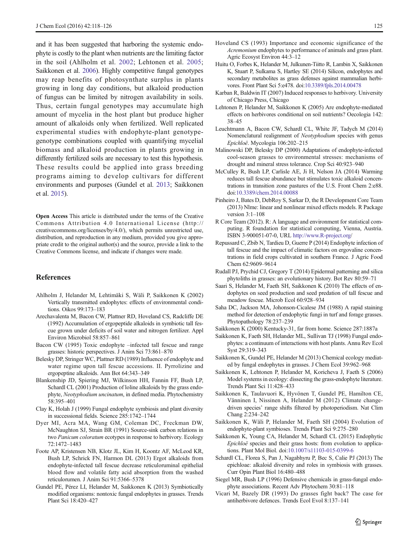<span id="page-7-0"></span>and it has been suggested that harboring the systemic endophyte is costly to the plant when nutrients are the limiting factor in the soil (Ahlholm et al. 2002; Lehtonen et al. 2005; Saikkonen et al. 2006). Highly competitive fungal genotypes may reap benefits of photosynthate surplus in plants growing in long day conditions, but alkaloid production of fungus can be limited by nitrogen availability in soils. Thus, certain fungal genotypes may accumulate high amount of mycelia in the host plant but produce higher amount of alkaloids only when fertilized. Well replicated experimental studies with endophyte-plant genotypegenotype combinations coupled with quantifying mycelial biomass and alkaloid production in plants growing in differently fertilized soils are necessary to test this hypothesis. These results could be applied into grass breeding programs aiming to develop cultivars for different environments and purposes (Gundel et al. 2013; Saikkonen et al. 2015).

Open Access This article is distributed under the terms of the Creative Commons Attribution 4.0 International License (http:// creativecommons.org/licenses/by/4.0/), which permits unrestricted use, distribution, and reproduction in any medium, provided you give appropriate credit to the original author(s) and the source, provide a link to the Creative Commons license, and indicate if changes were made.

#### References

- Ahlholm J, Helander M, Lehtimäki S, Wäli P, Saikkonen K (2002) Vertically transmitted endophytes: effects of environmental conditions. Oikos 99:173–183
- Arechavalenta M, Bacon CW, Plattner RD, Hoveland CS, Radcliffe DE (1992) Accumulation of ergopeptide alkaloids in symbiotic tall fescue grown under deficits of soil water and nitrogen fertilizer. Appl Environ Microbiol 58:857–861
- Bacon CW (1995) Toxic endophyte –infected tall fescue and range grasses: historic perspectives. J Anim Sci 73:861–870
- Belesky DP, Stringer WC, Plattner RD (1989) Influence of endophyte and water regime upon tall fescue accessions. II. Pyrrolizine and ergopeptine alkaloids. Ann Bot 64:343–349
- Blankenship JD, Spiering MJ, Wilkinson HH, Fannin FF, Bush LP, Schardl CL (2001) Production of loline alkaloids by the grass endophyte, Neotyphodium uncinatum, in defined media. Phytochemistry 58:395–401
- Clay K, Holah J (1999) Fungal endophyte symbiosis and plant diversity in successional fields. Science 285:1742–1744
- Dyer MI, Acra MA, Wang GM, Coleman DC, Freckman DW, McNaughton SJ, Strain BR (1991) Source-sink carbon relations in two Panicum coloratum ecotypes in response to herbivory. Ecology 72:1472–1483
- Foote AP, Kristensen NB, Klotz JL, Kim H, Koontz AF, McLeod KR, Bush LP, Schrick FN, Harmon DL (2013) Ergot alkaloids from endophyte-infected tall fescue decrease reticuloruminal epithelial blood flow and volatile fatty acid absorption from the washed reticulorumen. J Anim Sci 91:5366–5378
- Gundel PE, Pérez LI, Helander M, Saikkonen K (2013) Symbiotically modified organisms: nontoxic fungal endophytes in grasses. Trends Plant Sci 18:420–427
- Hoveland CS (1993) Importance and economic significance of the Acremonium endophytes to performance of animals and grass plant. Agric Ecosyst Environ 44:3–12
- Huitu O, Forbes K, Helander M, Julkunen-Tiitto R, Lambin X, Saikkonen K, Stuart P, Sulkama S, Hartley SE (2014) Silicon, endophytes and secondary metabolites as grass defenses against mammalian herbivores. Front Plant Sci 5:e478. doi[:10.3389/fpls.2014.00478](http://dx.doi.org/10.3389/fpls.2014.00478)
- Karban R, Baldwin IT (2007) Induced responses to herbivory. University of Chicago Press, Chicago
- Lehtonen P, Helander M, Saikkonen K (2005) Are endophyte-mediated effects on herbivores conditional on soil nutrients? Oecologia 142: 38–45
- Leuchtmann A, Bacon CW, Schardl CL, White JF, Tadych M (2014) Nomenclatural realignment of Neotyphodium species with genus Epichloë. Mycologia 106:202–215
- Malinowski DP, Belesky DP (2000) Adaptations of endophyte-infected cool-season grasses to environmental stresses: mechanisms of drought and mineral stress tolerance. Crop Sci 40:923–940
- McCulley R, Bush LP, Carlisle AE, Ji H, Nelson JA (2014) Warming reduces tall fescue abundance but stimulates toxic alkaloid concentrations in transition zone pastures of the U.S. Front Chem 2:e88. doi:[10.3389/chem.2014.00088](http://dx.doi.org/10.3389/chem.2014.00088)
- Pinheiro J, Bates D, DebRoy S, Sarkar D, the R Development Core Team (2013) Nlme: linear and nonlinear mixed effects models. R Package version 3:1–108
- R Core Team (2012). R: A language and environment for statistical computing. R foundation for statistical computing, Vienna, Austria. ISBN 3-900051-07-0, URL [http://www.R-project.org/](http://www.r-project.org/)
- Repussard C, Zbib N, Tardieu D, Guerre P (2014) Endophyte infection of tall fescue and the impact of climatic factors on ergovaline concentrations in field crops cultivated in southern France. J Agric Food Chem 62:9609–9614
- Rudall PJ, Prychid CJ, Gregory T (2014) Epidermal patterning and silica phytoliths in grasses: an evolutionary history. Bot Rev 80:59–71
- Saari S, Helander M, Faeth SH, Saikkonen K (2010) The effects of endophytes on seed production and seed predation of tall fescue and meadow fescue. Microb Ecol 60:928–934
- Saha DC, Jackson MA, Johonson-Cicalese JM (1988) A rapid staining method for detection of endophytic fungi in turf and forage grasses. Phytopathology 78:237–239
- Saikkonen K (2000) Kentucky-31, far from home. Science 287:1887a
- Saikkonen K, Faeth SH, Helander ML, Sullivan TJ (1998) Fungal endophytes: a continuum of interactions with host plants. Annu Rev Ecol Syst 29:319–343
- Saikkonen K, Gundel PE, Helander M (2013) Chemical ecology mediated by fungal endophytes in grasses. J Chem Ecol 39:962–968
- Saikkonen K, Lehtonen P, Helander M, Koricheva J, Faeth S (2006) Model systems in ecology: dissecting the grass-endophyte literature. Trends Plant Sci 11:428–433
- Saikkonen K, Taulavuori K, Hyvönen T, Gundel PE, Hamilton CE, Vänninen I, Nissinen A, Helander M (2012) Climate changedriven species' range shifts filtered by photoperiodism. Nat Clim Chang 2:234–242
- Saikkonen K, Wäli P, Helander M, Faeth SH (2004) Evolution of endophyte-plant symbioses. Trends Plant Sci 9:275–280
- Saikkonen K, Young CA, Helander M, Schardl CL (2015) Endophytic Epichloë species and their grass hosts: from evolution to applications. Plant Mol Biol. doi[:10.1007/s11103-015-0399-6](http://dx.doi.org/10.1007/s11103-015-0399-6)
- Schardl CL, Florea S, Pan J, Nagabhyru P, Bec S, Calie PJ (2013) The epichloae: alkaloid diversity and roles in symbiosis with grasses. Curr Opin Plant Biol 16:480–488
- Siegel MR, Bush LP (1996) Defensive chemicals in grass-fungal endophyte associations. Recent Adv Phytochem 30:81–118
- Vicari M, Bazely DR (1993) Do grasses fight back? The case for antiherbivore defences. Trends Ecol Evol 8:137–141